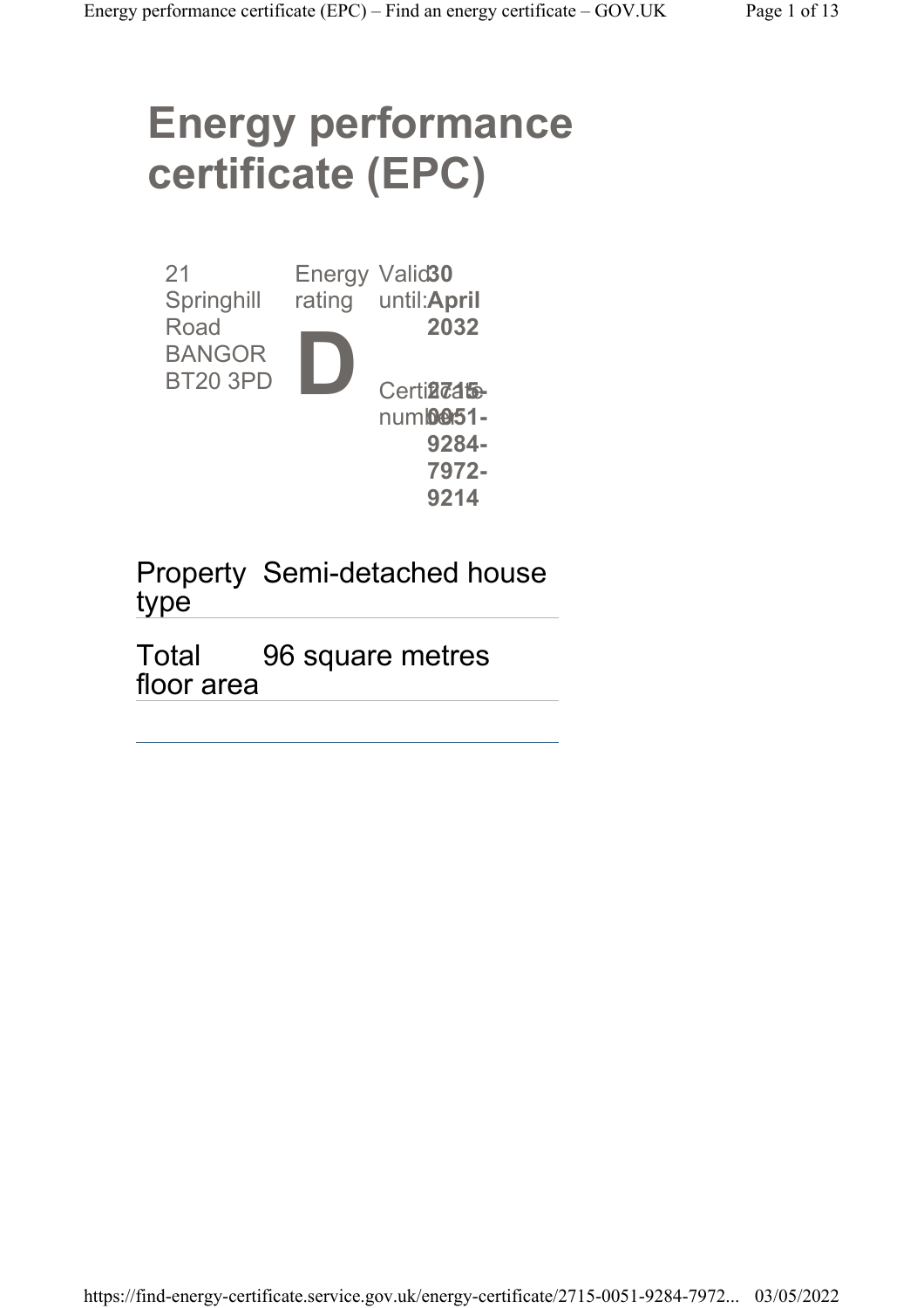# **Energy performance certificate (EPC)**

| 21<br>Springhill<br>Road         | Energy | Valid30<br>rating until:April<br>2032 |
|----------------------------------|--------|---------------------------------------|
| <b>BANGOR</b><br><b>BT20 3PD</b> |        | Certi <sub>2715</sub>                 |
|                                  |        | num <b>be51-</b><br>9284-             |
|                                  |        | 7972-                                 |
|                                  |        | 9214                                  |

Property Semi-detached house type

Total floor area 96 square metres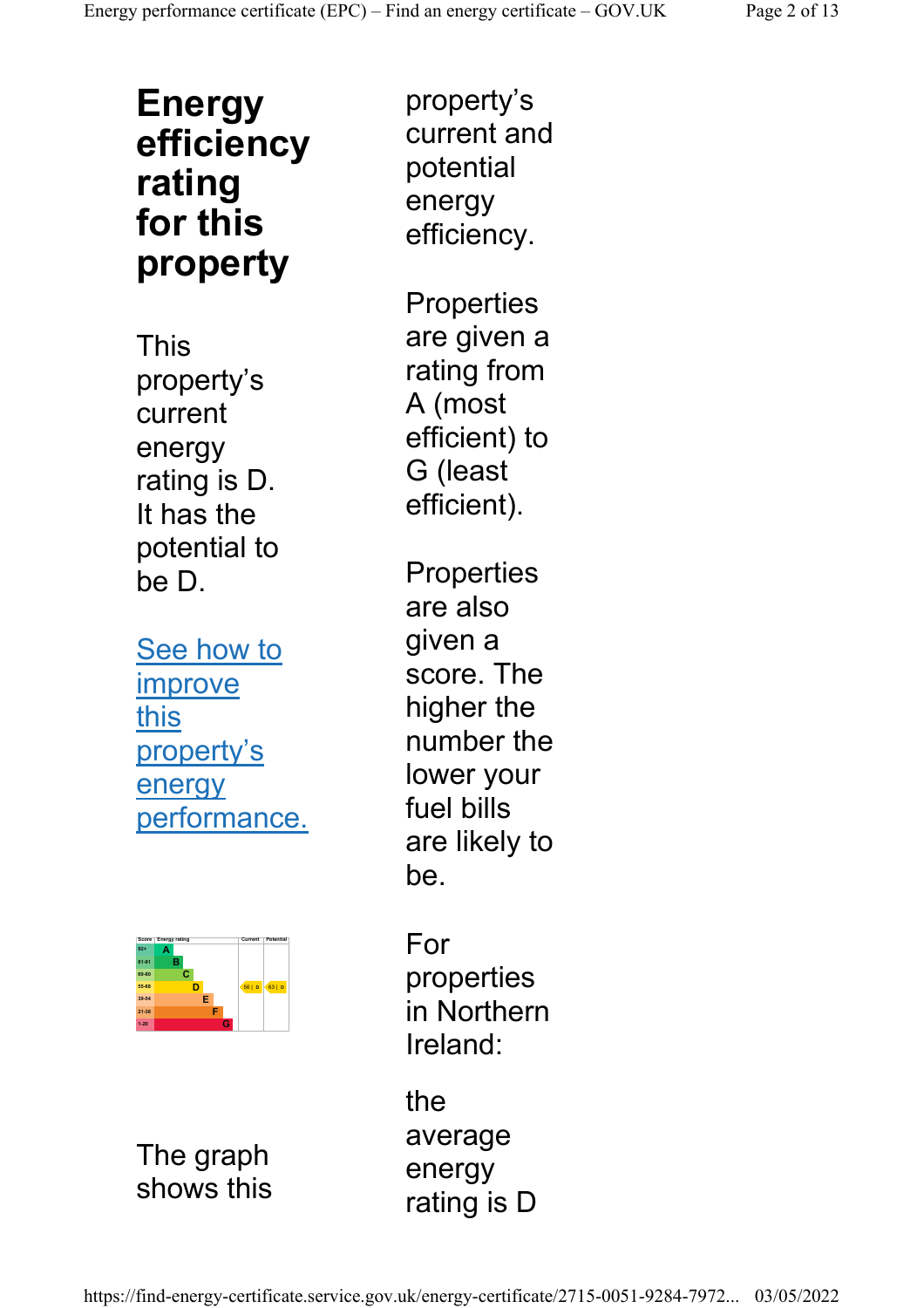## **Energy efficiency rating for this property**

This property's current energy rating is D. It has the potential to be D.

See how to improve this property's energy performance.



The graph shows this

property's current and potential energy efficiency.

**Properties** are given a rating from A (most efficient) to G (least efficient).

**Properties** are also given a score. The higher the number the lower your fuel bills are likely to be.

For properties in Northern Ireland:

the average energy rating is D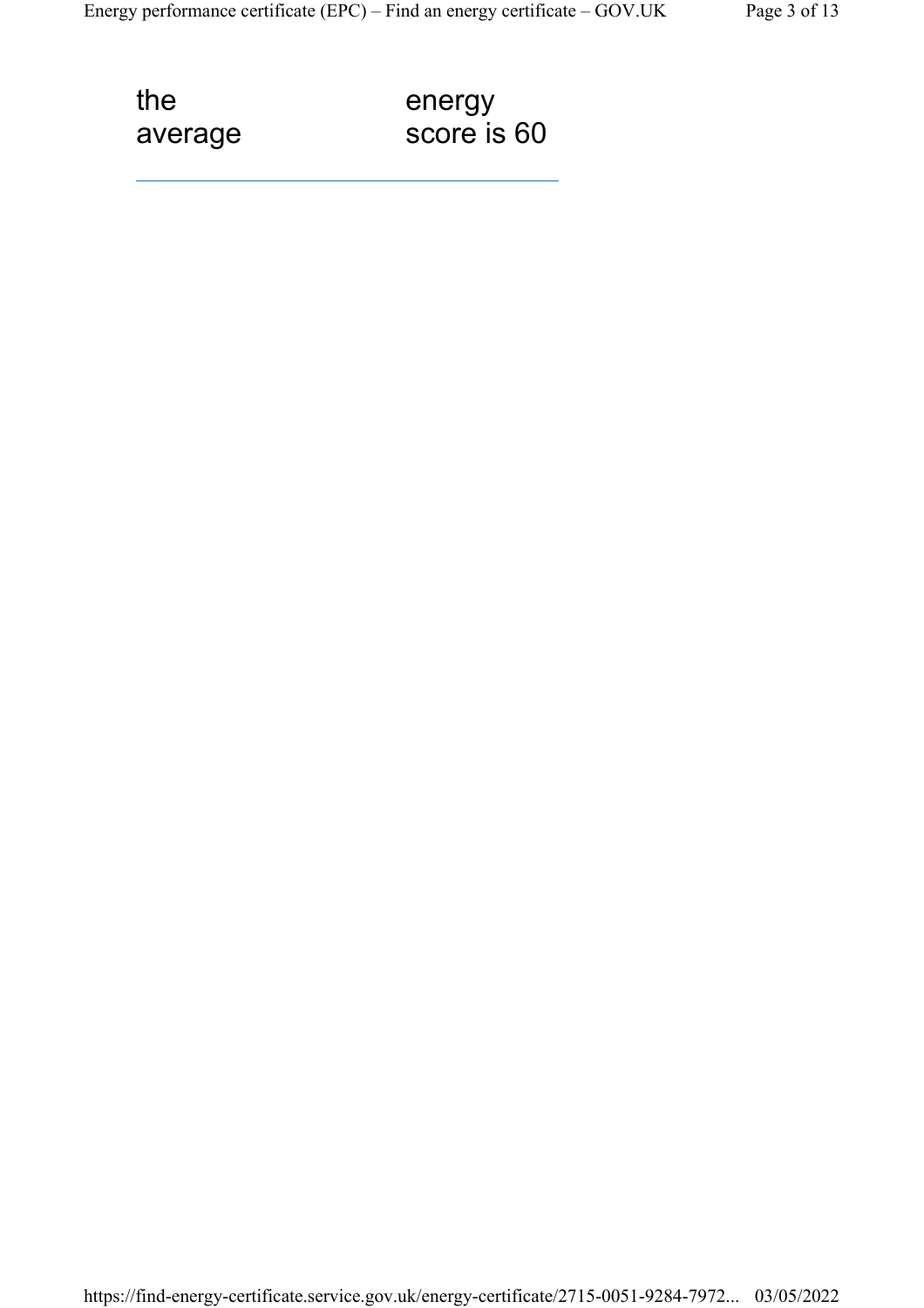the average energy score is 60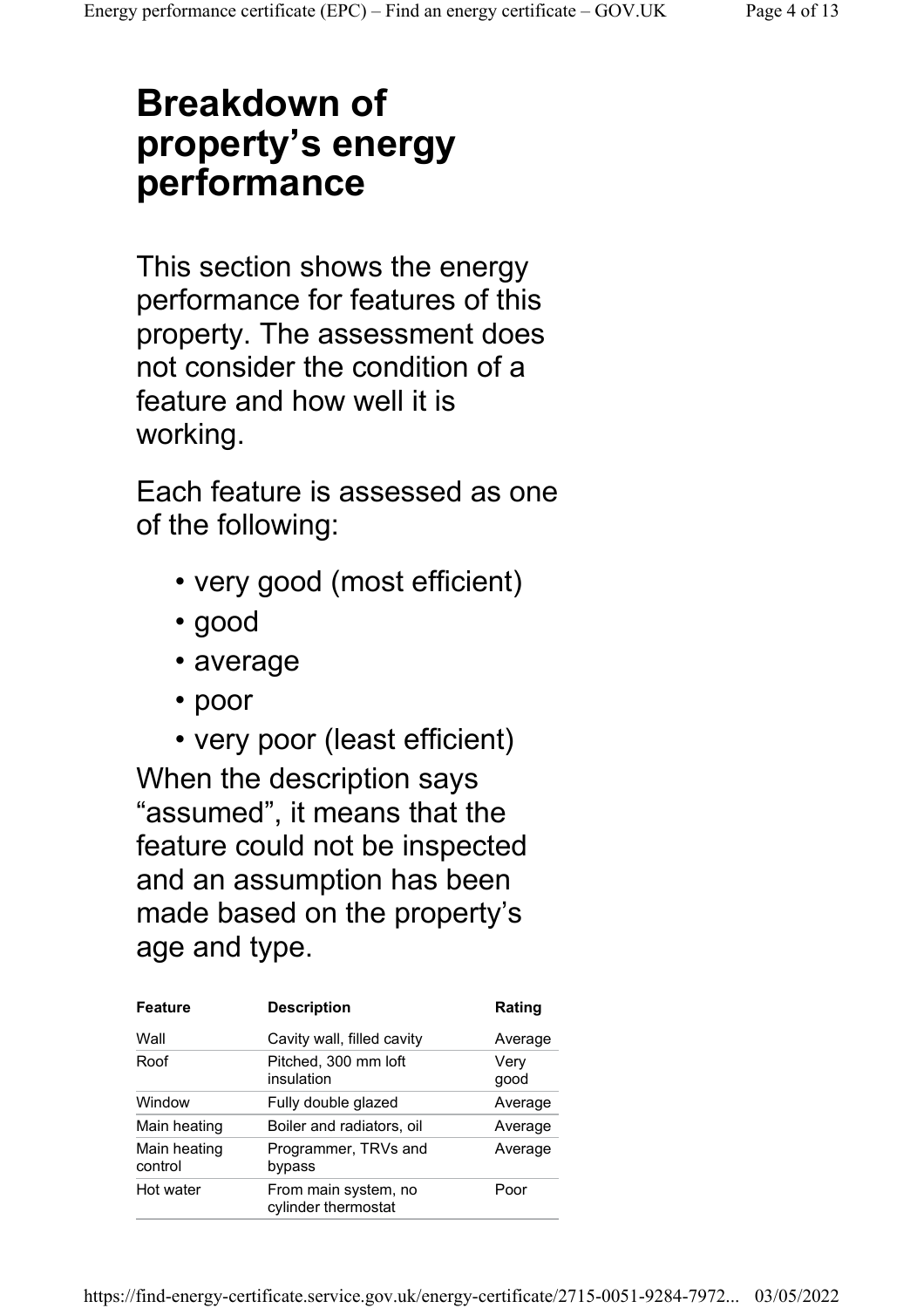# **Breakdown of property's energy performance**

This section shows the energy performance for features of this property. The assessment does not consider the condition of a feature and how well it is working.

Each feature is assessed as one of the following:

- very good (most efficient)
- good
- average
- poor

• very poor (least efficient) When the description says "assumed", it means that the feature could not be inspected and an assumption has been made based on the property's age and type.

| <b>Feature</b>          | <b>Description</b>                          | Rating       |
|-------------------------|---------------------------------------------|--------------|
| Wall                    | Cavity wall, filled cavity                  | Average      |
| Roof                    | Pitched, 300 mm loft<br>insulation          | Verv<br>good |
| Window                  | Fully double glazed                         | Average      |
| Main heating            | Boiler and radiators, oil                   | Average      |
| Main heating<br>control | Programmer, TRVs and<br>bypass              | Average      |
| Hot water               | From main system, no<br>cylinder thermostat | Poor         |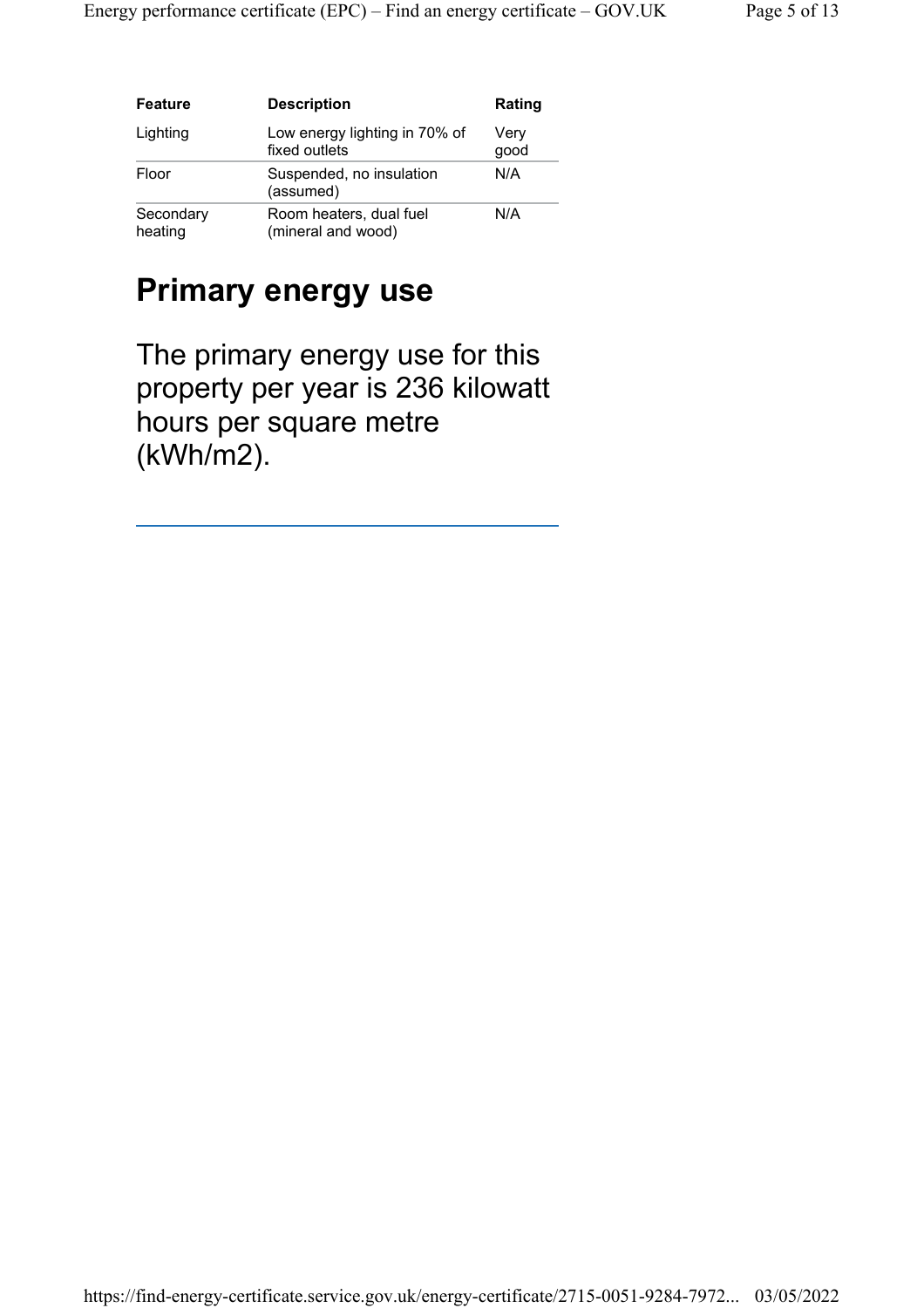| Feature              | <b>Description</b>                             | Rating       |
|----------------------|------------------------------------------------|--------------|
| Lighting             | Low energy lighting in 70% of<br>fixed outlets | Very<br>good |
| Floor                | Suspended, no insulation<br>(assumed)          | N/A          |
| Secondary<br>heating | Room heaters, dual fuel<br>(mineral and wood)  | N/A          |

#### **Primary energy use**

The primary energy use for this property per year is 236 kilowatt hours per square metre (kWh/m2).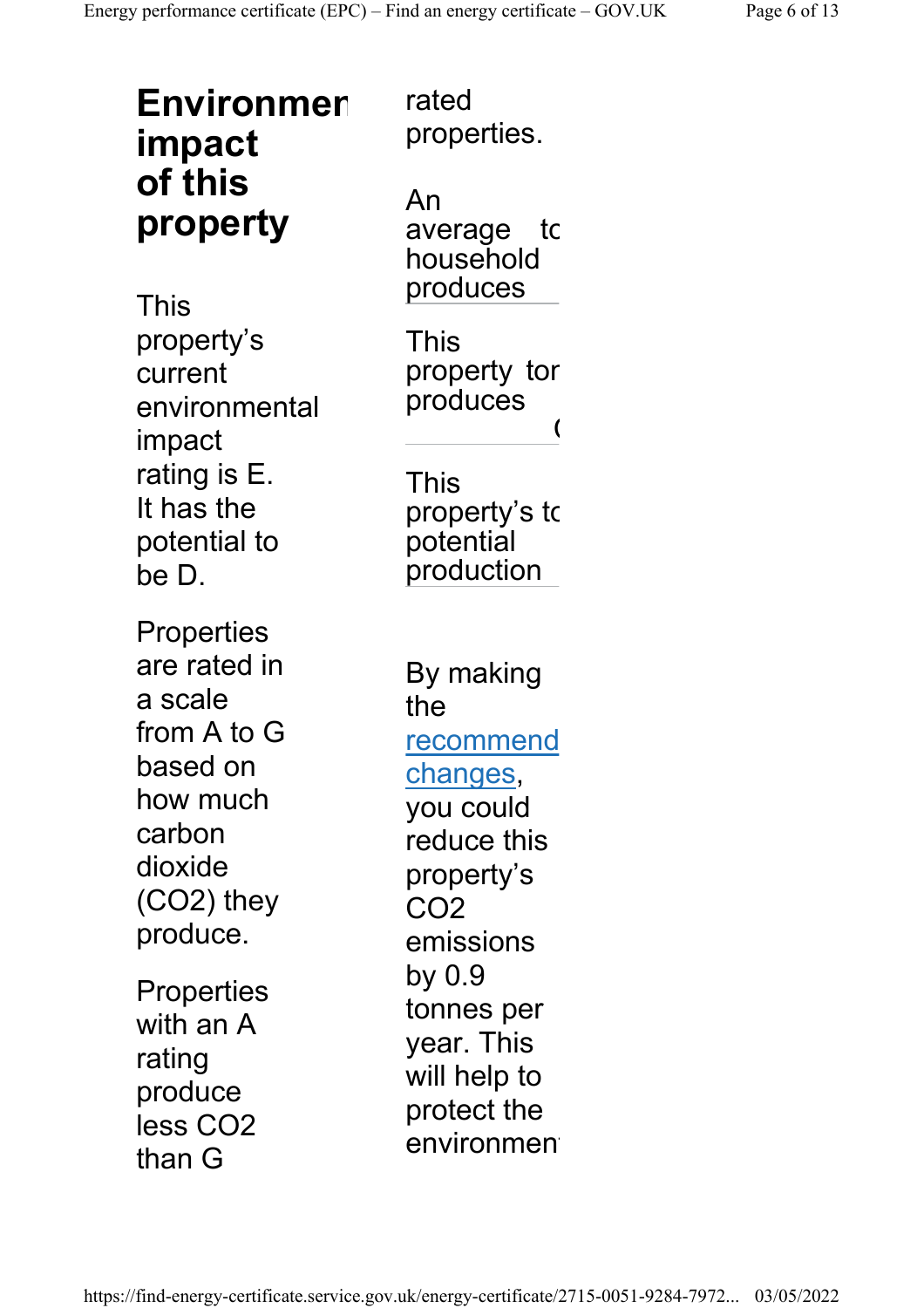| Environmer                                                                                     | rated                                                                  |
|------------------------------------------------------------------------------------------------|------------------------------------------------------------------------|
| impact                                                                                         | properties.                                                            |
| of this<br>property<br><b>This</b>                                                             | An<br>average tc<br>household<br>produces                              |
| property's<br>current<br>environmental<br>impact<br>rating is E.<br>It has the<br>potential to | This<br>property tor<br>produces<br>This<br>property's tc<br>potential |
| be D.<br>Properties<br>are rated in                                                            | production<br>By making                                                |
| a scale                                                                                        | the                                                                    |
| from A to G                                                                                    | recommend                                                              |
| based on                                                                                       | changes,                                                               |
| how much                                                                                       | you could                                                              |
| carbon                                                                                         | reduce this                                                            |
| dioxide                                                                                        | property's                                                             |
| $(CO2)$ they                                                                                   | CO2                                                                    |
| produce.                                                                                       | emissions                                                              |
| <b>Properties</b>                                                                              | by 0.9                                                                 |
| with an A                                                                                      | tonnes per                                                             |
| rating                                                                                         | year. This                                                             |
| produce                                                                                        | will help to                                                           |
| less CO2                                                                                       | protect the                                                            |
| than G                                                                                         | environmen                                                             |

https://find-energy-certificate.service.gov.uk/energy-certificate/2715-0051-9284-7972... 03/05/2022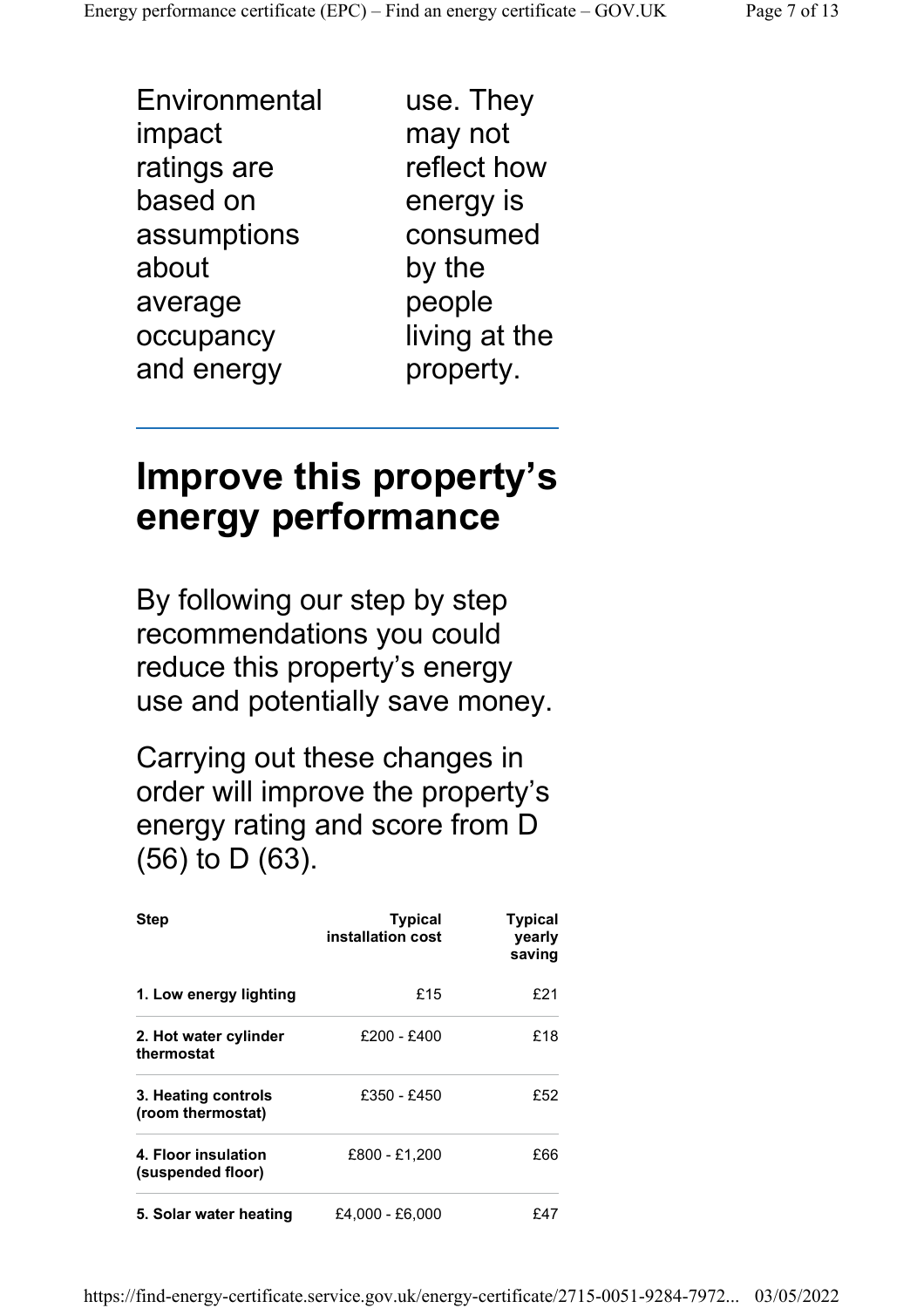Environmental impact ratings are based on assumptions about average occupancy and energy

use. They may not reflect how energy is consumed by the people living at the property.

## **Improve this property's energy performance**

By following our step by step recommendations you could reduce this property's energy use and potentially save money.

Carrying out these changes in order will improve the property's energy rating and score from D (56) to D (63).

| <b>Step</b>                              | <b>Typical</b><br>installation cost | <b>Typical</b><br>yearly<br>saving |
|------------------------------------------|-------------------------------------|------------------------------------|
| 1. Low energy lighting                   | £15                                 | £21                                |
| 2. Hot water cylinder<br>thermostat      | £200 - £400                         | £18                                |
| 3. Heating controls<br>(room thermostat) | £350 - £450                         | £52                                |
| 4. Floor insulation<br>(suspended floor) | £800 - £1,200                       | £66                                |
| 5. Solar water heating                   | £4,000 - £6,000                     | £47                                |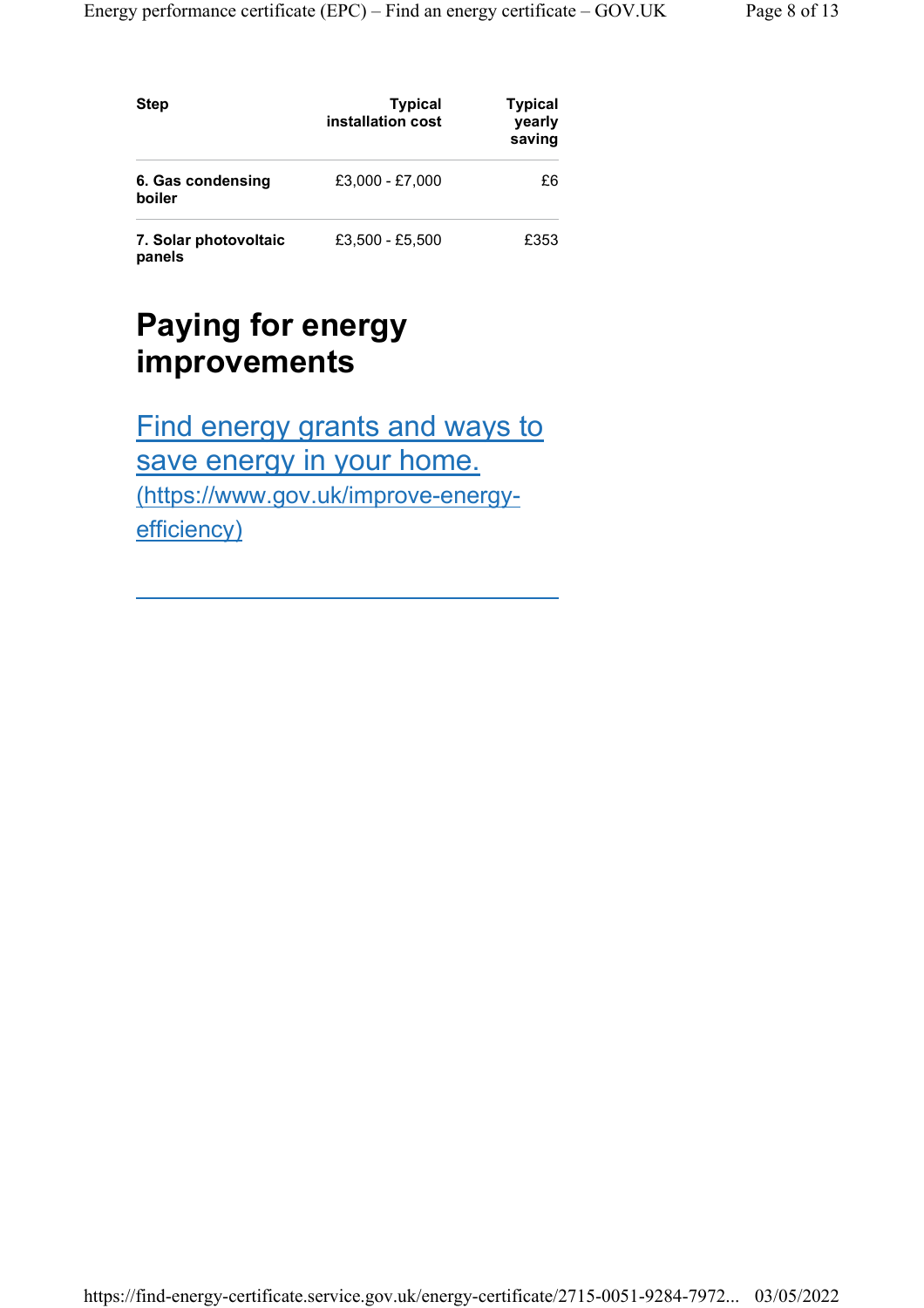| <b>Step</b>                     | <b>Typical</b><br>installation cost | <b>Typical</b><br>yearly<br>saving |
|---------------------------------|-------------------------------------|------------------------------------|
| 6. Gas condensing<br>boiler     | £3,000 - £7,000                     | £6                                 |
| 7. Solar photovoltaic<br>panels | £3,500 - £5,500                     | £353                               |

## **Paying for energy improvements**

Find energy grants and ways to save energy in your home. (https://www.gov.uk/improve-energyefficiency)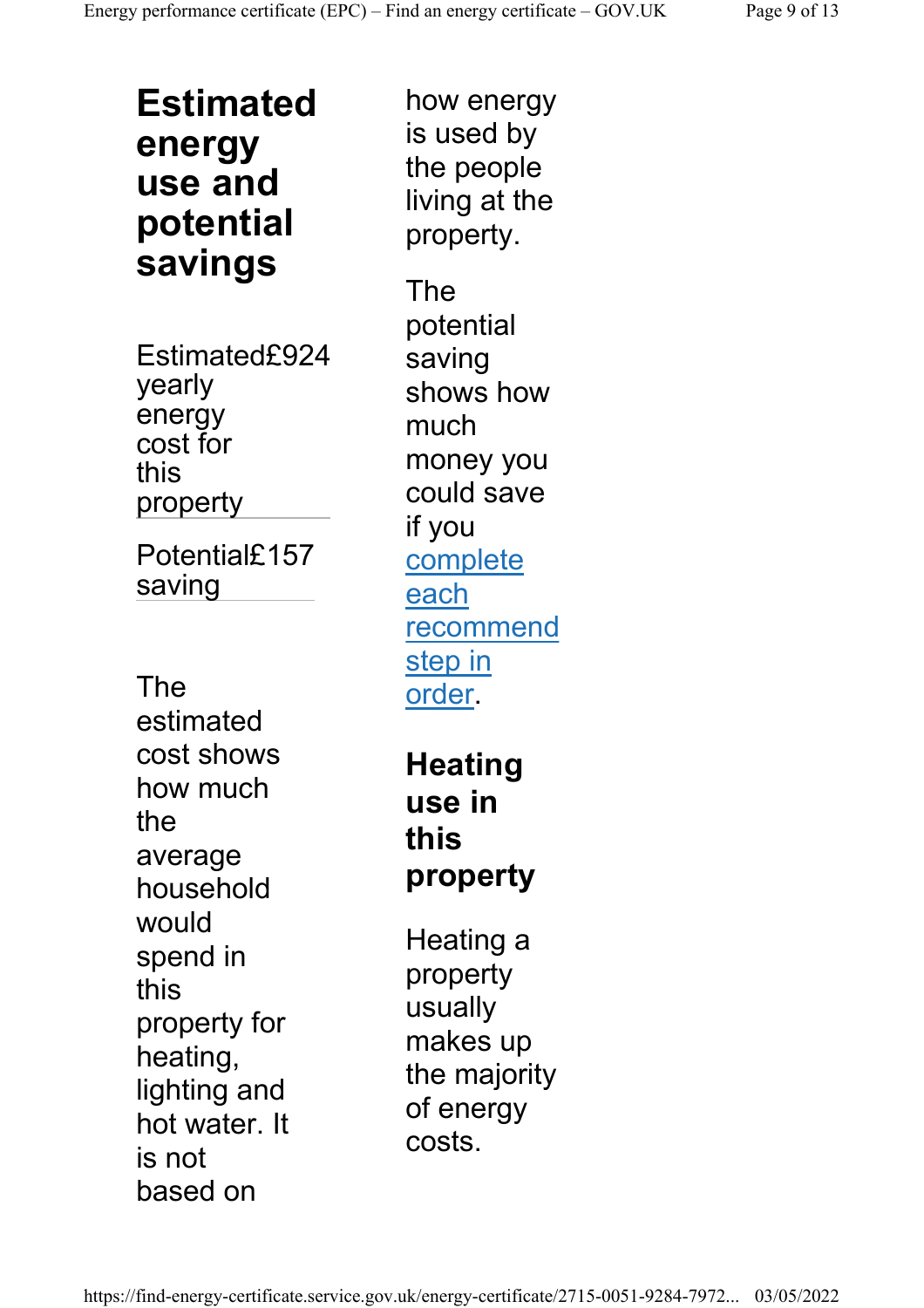**Estimated energy use and potential savings**

Estimated£924 yearly energy cost for this property

Potential£157 saving

The estimated cost shows how much the average household would spend in this property for heating, lighting and hot water. It is not based on

how energy is used by the people living at the property. The potential saving shows how much money you could save if you complete each recommend step in order.

**Heating use in this property**

Heating a property usually makes up the majority of energy costs.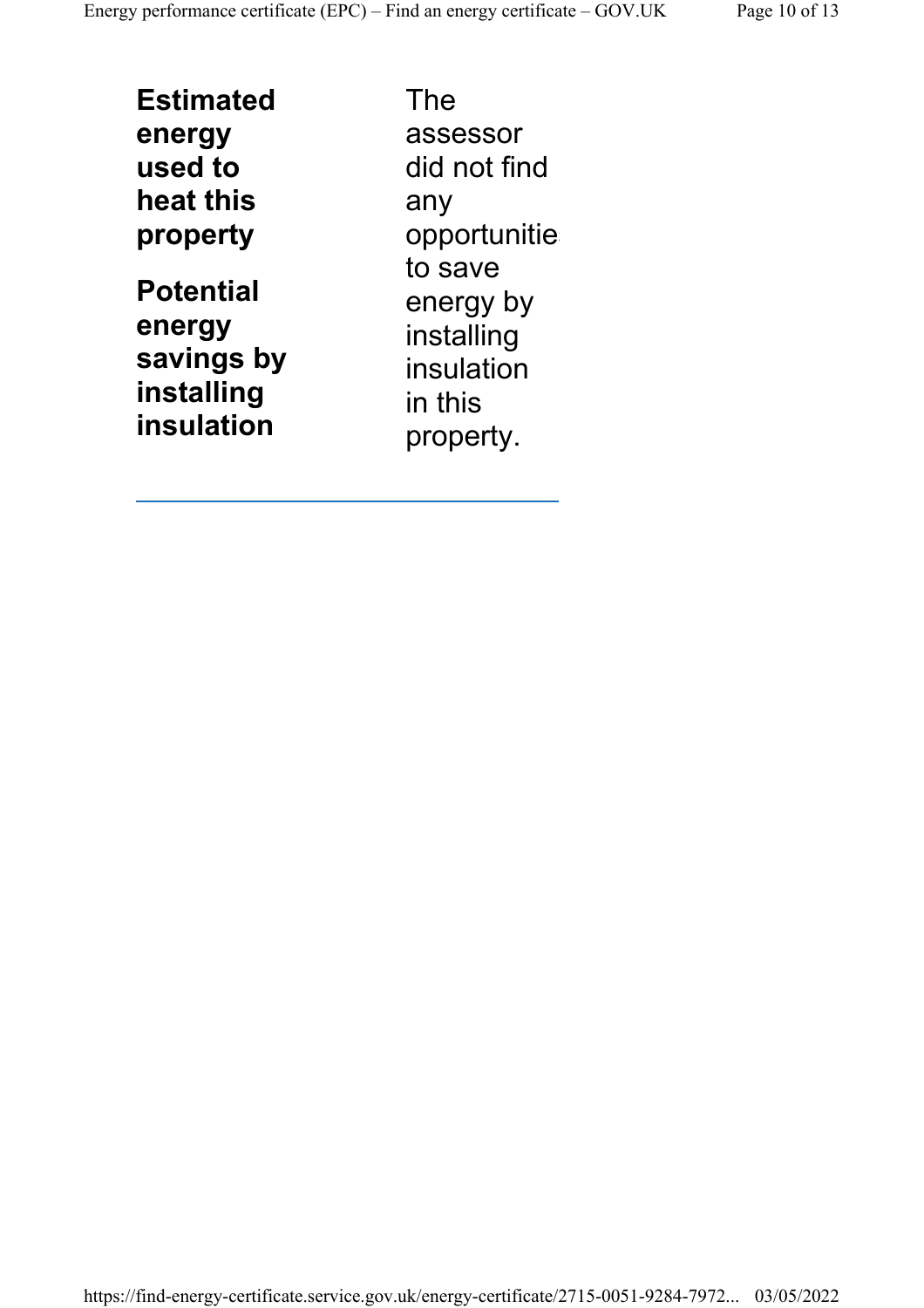**Estimated energy used to heat this property Potential** 

**energy savings by installing insulation**

The assessor did not find any opportunitie to save energy by installing insulation in this property.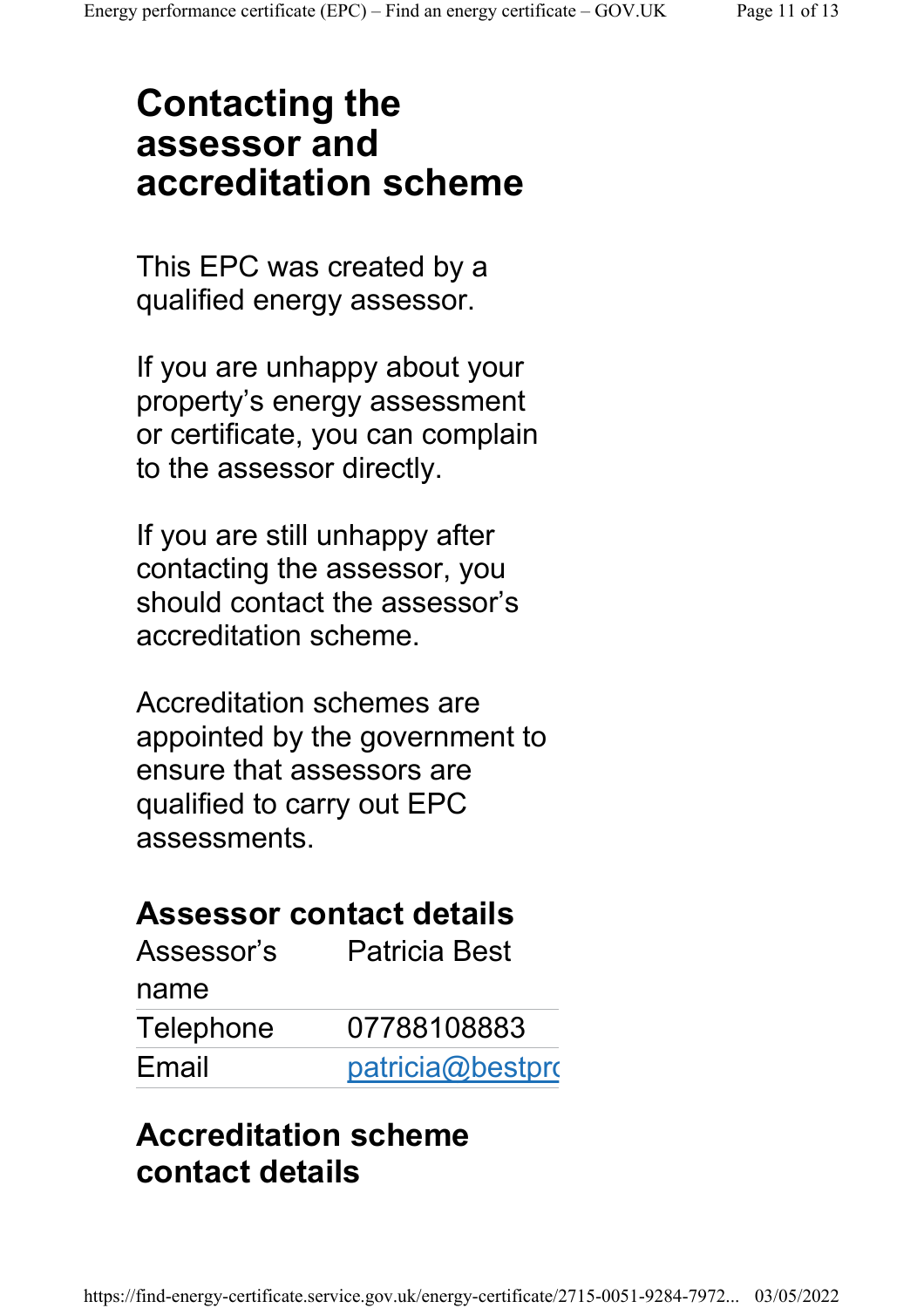# **Contacting the assessor and accreditation scheme**

This EPC was created by a qualified energy assessor.

If you are unhappy about your property's energy assessment or certificate, you can complain to the assessor directly.

If you are still unhappy after contacting the assessor, you should contact the assessor's accreditation scheme.

Accreditation schemes are appointed by the government to ensure that assessors are qualified to carry out EPC assessments.

#### **Assessor contact details**

| Assessor's       | <b>Patricia Best</b> |
|------------------|----------------------|
| name             |                      |
| <b>Telephone</b> | 07788108883          |
| Email            | patricia@bestpro     |

## **Accreditation scheme contact details**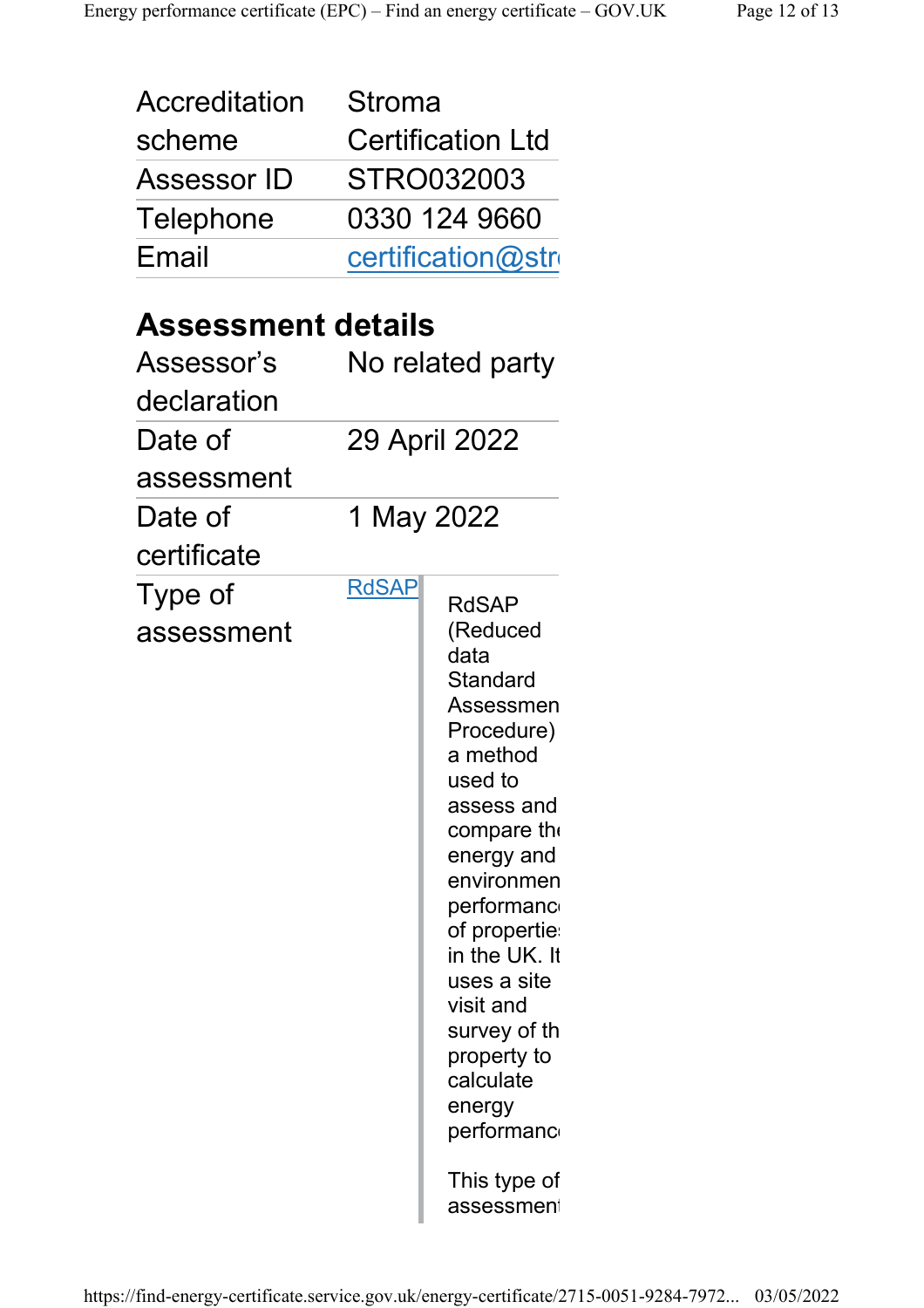| Accreditation | Stroma                   |  |
|---------------|--------------------------|--|
| scheme        | <b>Certification Ltd</b> |  |
| Assessor ID   | STRO032003               |  |
| Telephone     | 0330 124 9660            |  |
| Email         | certification@str        |  |

#### **Assessment details**

| Assessor's            |              | No related party                                                                                                                                                                                                                                                                                                                      |
|-----------------------|--------------|---------------------------------------------------------------------------------------------------------------------------------------------------------------------------------------------------------------------------------------------------------------------------------------------------------------------------------------|
| declaration           |              |                                                                                                                                                                                                                                                                                                                                       |
| Date of               |              | 29 April 2022                                                                                                                                                                                                                                                                                                                         |
| assessment            |              |                                                                                                                                                                                                                                                                                                                                       |
| Date of               | 1 May 2022   |                                                                                                                                                                                                                                                                                                                                       |
| certificate           |              |                                                                                                                                                                                                                                                                                                                                       |
| Type of<br>assessment | <b>RdSAP</b> | <b>RdSAP</b><br>(Reduced<br>data<br>Standard<br>Assessmen<br>Procedure)<br>a method<br>used to<br>assess and<br>compare the<br>energy and<br>environmen<br>performanc<br>of propertie:<br>in the UK. It<br>uses a site<br>visit and<br>survey of th<br>property to<br>calculate<br>energy<br>performanc<br>This type of<br>assessment |